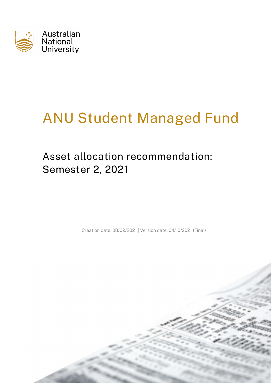

# ANU Student Managed Fund

## Asset allocation recommendation: Semester 2, 2021

Creation date: 08/09/2021 | Version date: 04/10/2021 (Final)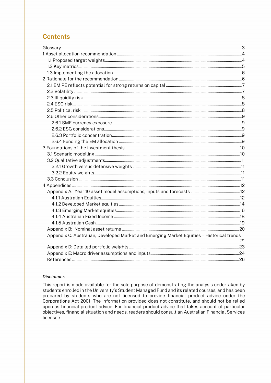## **Contents**

| Appendix C: Australian, Developed Market and Emerging Market Equities - Historical trends |  |
|-------------------------------------------------------------------------------------------|--|
|                                                                                           |  |
|                                                                                           |  |
|                                                                                           |  |
|                                                                                           |  |

#### Disclaimer:

This report is made available for the sole purpose of demonstrating the analysis undertaken by students enrolled in the University's Student Managed Fund and its related courses, and has been prepared by students who are not licensed to provide financial product advice under the Corporations Act 2001. The information provided does not constitute, and should not be relied upon as financial product advice. For financial product advice that takes account of particular objectives, financial situation and needs, readers should consult an Australian Financial Services licensee.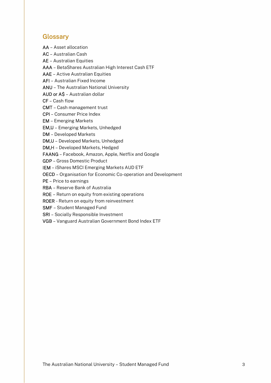## **Glossary**

AA – Asset allocation

AC – Australian Cash

AE – Australian Equities

AAA – BetaShares Australian High Interest Cash ETF

AAE – Active Australian Equities

AFI – Australian Fixed Income

ANU – The Australian National University

AUD or A\$ – Australian dollar

CF – Cash flow

CMT – Cash management trust

CPI – Consumer Price Index

EM – Emerging Markets

EM,U – Emerging Markets, Unhedged

DM – Developed Markets

DM,U – Developed Markets, Unhedged

DM,H – Developed Markets, Hedged

FAANG – Facebook, Amazon, Apple, Netflix and Google

GDP – Gross Domestic Product

IEM – iShares MSCI Emerging Markets AUD ETF

OECD – Organisation for Economic Co-operation and Development

PE – Price to earnings

RBA – Reserve Bank of Australia

ROE – Return on equity from existing operations

ROER - Return on equity from reinvestment

SMF – Student Managed Fund

SRI – Socially Responsible Investment

VGB – Vanguard Australian Government Bond Index ETF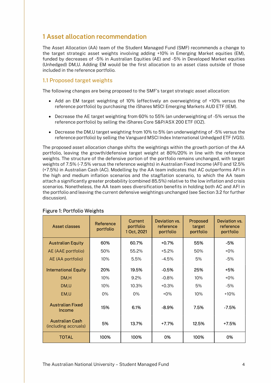## 1 Asset allocation recommendation

The Asset Allocation (AA) team of the Student Managed Fund (SMF) recommends a change to the target strategic asset weights involving adding +10% in Emerging Market equities (EM), funded by decreases of -5% in Australian Equities (AE) and -5% in Developed Market equities (Unhedged) DM,U. Adding EM would be the first allocation to an asset class outside of those included in the reference portfolio.

#### 1.1 Proposed target weights

The following changes are being proposed to the SMF's target strategic asset allocation:

- Add an EM target weighting of 10% (effectively an overweighting of +10% versus the reference portfolio) by purchasing the iShares MSCI Emerging Markets AUD ETF (IEM).
- Decrease the AE target weighting from 60% to 55% (an underweighting of -5% versus the reference portfolio) by selling the iShares Core S&P/ASX 200 ETF (IOZ).
- Decrease the DM,U target weighting from 10% to 5% (an underweighting of -5% versus the reference portfolio) by selling the Vanguard MSCI Index International Unhedged ETF (VGS).

The proposed asset allocation change shifts the weightings within the growth portion of the AA portfolio, leaving the growth/defensive target weight at 80%/20% in line with the reference weights. The structure of the defensive portion of the portfolio remains unchanged, with target weights of 7.5% (-7.5% versus the reference weights) in Australian Fixed Income (AFI) and 12.5% (+7.5%) in Australian Cash (AC). Modelling by the AA team indicates that AC outperforms AFI in the high and medium inflation scenarios and the stagflation scenario, to which the AA team attach a significantly greater probability (combined 85.5%) relative to the low inflation and crisis scenarios. Nonetheless, the AA team sees diversification benefits in holding both AC and AFI in the portfolio and leaving the current defensive weightings unchanged (see Section 3.2 for further discussion).

| Asset classes                                  | Reference<br>portfolio | <b>Current</b><br>portfolio<br>1 Oct, 2021 | <b>Deviation vs.</b><br>reference<br>portfolio | Proposed<br>target<br>portfolio | Deviation vs.<br>reference<br>portfolio |
|------------------------------------------------|------------------------|--------------------------------------------|------------------------------------------------|---------------------------------|-----------------------------------------|
| <b>Australian Equity</b>                       | 60%                    | 60.7%                                      | $+0.7%$                                        | 55%                             | $-5%$                                   |
| AE (AAE portfolio)                             | 50%                    | 55.2%                                      | $+5.2%$                                        | 50%                             | $+0\%$                                  |
| AE (AA portfolio)                              | 10%                    | 5.5%                                       | $-4.5%$                                        | 5%                              | $-5%$                                   |
| <b>International Equity</b>                    | 20%                    | 19.5%                                      | $-0.5%$                                        | 25%                             | +5%                                     |
| DM,H                                           | 10%                    | $9.2\%$                                    | $-0.8%$                                        | 10%                             | $+0\%$                                  |
| DM,U                                           | 10%                    | 10.3%                                      | $+0.3%$                                        | 5%                              | $-5%$                                   |
| EM,U                                           | 0%                     | 0%                                         | $+0\%$                                         | 10%                             | $+10%$                                  |
| <b>Australian Fixed</b><br>Income              | 15%                    | 6.1%                                       | $-8.9%$                                        | 7.5%                            | $-7.5%$                                 |
| <b>Australian Cash</b><br>(including accruals) | 5%                     | 13.7%                                      | +7.7%                                          | 12.5%                           | +7.5%                                   |
| <b>TOTAL</b>                                   | 100%                   | 100%                                       | 0%                                             | 100%                            | 0%                                      |

#### Figure 1: Portfolio Weights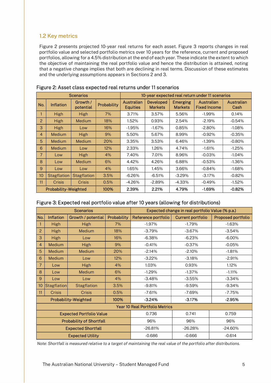## 1.2 Key metrics

Figure 2 presents projected 10-year real returns for each asset. Figure 3 reports changes in real portfolio value and selected portfolio metrics over 10 years for the reference, current and proposed portfolios, allowing for a 4.5% distribution at the end of each year. These indicate the extent to which the objective of maintaining the real portfolio value and hence the distribution is attained, noting that a negative change implies that both are declining in real terms. Discussion of these estimates and the underlying assumptions appears in Sections 2 and 3.

|                |                             | <b>Scenarios</b>      |             |                                      |                                    |                            | 10-year expected real return under 11 scenarios |                    |
|----------------|-----------------------------|-----------------------|-------------|--------------------------------------|------------------------------------|----------------------------|-------------------------------------------------|--------------------|
| No.            | <b>Inflation</b>            | Growth /<br>potential | Probability | <b>Australian</b><br><b>Equities</b> | <b>Developed</b><br><b>Markets</b> | Emerging<br><b>Markets</b> | Australian<br><b>Fixed Income</b>               | Australian<br>Cash |
|                | High                        | High                  | 7%          | 3.71%                                | 3.57%                              | 5.56%                      | $-1.99\%$                                       | 0.14%              |
| 2              | High                        | <b>Medium</b>         | 18%         | 1.52%                                | 0.93%                              | 2.54%                      | $-2.19%$                                        | $-0.54%$           |
| 3              | High                        | Low                   | 16%         | $-1.95%$                             | $-1.67%$                           | 0.85%                      | $-2.80%$                                        | $-1.08\%$          |
| 4              | Medium                      | <b>High</b>           | 9%          | 5.50%                                | 5.67%                              | 8.99%                      | $-0.92%$                                        | $-0.35%$           |
| 5              | Medium                      | <b>Medium</b>         | 20%         | 3.35%                                | 3.53%                              | 6.46%                      | $-1.39\%$                                       | $-0.80%$           |
| 6              | Medium                      | Low                   | 12%         | 2.33%                                | 1.26%                              | 4.74%                      | $-1.61%$                                        | $-1.25%$           |
| $\overline{7}$ | Low                         | <b>High</b>           | 4%          | 7.40%                                | 7.01%                              | 8.96%                      | $-0.03%$                                        | $-1.04\%$          |
| 8              | Low                         | <b>Medium</b>         | 6%          | 4.42%                                | 4.26%                              | 6.88%                      | $-0.53%$                                        | $-1.36\%$          |
| 9              | Low                         | Low                   | 4%          | 1.65%                                | 1.45%                              | 3.66%                      | $-0.84%$                                        | $-1.68\%$          |
| 10             | <b>Stagflation</b>          | <b>Stagflation</b>    | 3.5%        | $-6.26%$                             | $-6.51%$                           | $-3.29%$                   | $-3.17%$                                        | $-0.82%$           |
| 11             | <b>Crisis</b>               | Crisis                | 0.5%        | $-4.26%$                             | $-2.89%$                           | $-4.33\%$                  | $-0.49%$                                        | $-1.52%$           |
|                | <b>Probability-Weighted</b> |                       | 100%        | 2.39%                                | 2.21%                              | 4.79%                      | $-1.69%$                                        | $-0.82%$           |

#### Figure 2: Asset class expected real returns under 11 scenarios

## Figure 3: Expected real portfolio value after 10 years (allowing for distributions)

|                |                  | <b>Scenarios</b>                |             | Expected change in real portfolio Value (% p.a.) |                          |                           |  |
|----------------|------------------|---------------------------------|-------------|--------------------------------------------------|--------------------------|---------------------------|--|
| No.            | <b>Inflation</b> | Growth / potential              | Probability | Reference portfolio                              | <b>Current portfolio</b> | <b>Proposed portfolio</b> |  |
|                | High             | High                            | 7%          | $-1.97%$                                         | $-1.79%$                 | $-1.63%$                  |  |
| 2              | High             | Medium                          | 18%         | $-3.79%$                                         | $-3.67%$                 | $-3.54%$                  |  |
| 3              | <b>High</b>      | Low                             | 16%         | $-6.38%$                                         | $-6.23%$                 | $-6.00\%$                 |  |
| $\overline{4}$ | Medium           | High                            | 9%          | $-0.41%$                                         | $-0.37%$                 | $-0.05%$                  |  |
| 5              | Medium           | Medium                          | 20%         | $-2.14%$                                         | $-2.10%$                 | $-1.81%$                  |  |
| 6              | Medium           | Low                             | 12%         | $-3.22%$                                         | $-3.18%$                 | $-2.91%$                  |  |
| $\overline{7}$ | Low              | High                            | 4%          | 1.03%                                            | 0.93%                    | 1.12%                     |  |
| 8              | Low              | Medium                          | 6%          | $-1.29%$                                         | $-1.37%$                 | $-1.11%$                  |  |
| $\overline{9}$ | Low              | Low                             | 4%          | $-3.48%$                                         | $-3.55%$                 | $-3.34%$                  |  |
| 10             | Stagflation      | <b>Stagflation</b>              | 3.5%        | $-9.81%$                                         | $-9.59%$                 | $-9.34\%$                 |  |
| 11             | Crisis           | Crisis                          | 0.5%        | $-7.61%$                                         | -7.69%                   | $-7.75%$                  |  |
|                |                  | <b>Probability-Weighted</b>     | 100%        | $-3.24%$                                         | $-3.17%$                 | $-2.95%$                  |  |
|                |                  |                                 |             | <b>Year 10 Real Portfolio Metrics</b>            |                          |                           |  |
|                |                  | <b>Expected Portfolio Value</b> |             | 0.736                                            | 0.741                    | 0.759                     |  |
|                |                  | <b>Probability of Shortfall</b> |             | 96%                                              | 96%                      | 96%                       |  |
|                |                  | <b>Expected Shortfall</b>       |             | $-26.81%$                                        | $-26.28%$                | $-24.60\%$                |  |
|                |                  | <b>Expected Utility</b>         |             | $-0.686$                                         | $-0.666$                 | $-0.614$                  |  |

Note: Shortfall is measured relative to a target of maintaining the real value of the portfolio after distributions.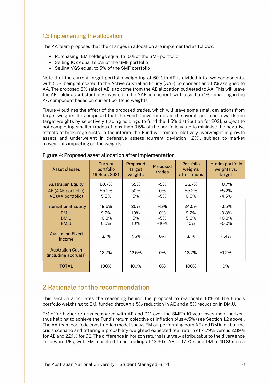## 1.3 Implementing the allocation

The AA team proposes that the changes in allocation are implemented as follows:

- Purchasing IEM holdings equal to 10% of the SMF portfolio
- Selling IOZ equal to 5% of the SMF portfolio
- Selling VGS equal to 5% of the SMF portfolio

Note that the current target portfolio weighting of 60% in AE is divided into two components, with 50% being allocated to the Active Australian Equity (AAE) component and 10% assigned to AA. The proposed 5% sale of AE is to come from the AE allocation budgeted to AA. This will leave the AE holdings substantially invested in the AAE component, with less than 1% remaining in the AA component based on current portfolio weights.

Figure 4 outlines the effect of the proposed trades, which will leave some small deviations from target weights. It is proposed that the Fund Convenor moves the overall portfolio towards the target weights by selectively trading holdings to fund the 4.5% distribution for 2021, subject to not completing smaller trades of less than 0.5% of the portfolio value to minimise the negative effects of brokerage costs. In the interim, the Fund will remain relatively overweight in growth assets and underweight in defensive assets (current deviation 1.2%), subject to market movements impacting on the weights.

| Asset classes                                  | Current<br>portfolio<br>19 Sept, 2021 | Proposed<br>target<br>weights | Proposed<br>trades | <b>Portfolio</b><br>weights<br>after trades | Interim portfolio<br>weights vs.<br>target |
|------------------------------------------------|---------------------------------------|-------------------------------|--------------------|---------------------------------------------|--------------------------------------------|
| <b>Australian Equity</b>                       | 60.7%                                 | 55%                           | -5%                | 55.7%                                       | $+0.7%$                                    |
| AE (AAE portfolio)                             | 55.2%                                 | 50%                           | 0%                 | 55.2%                                       | $+5.2%$                                    |
| AE (AA portfolio)                              | 5.5%                                  | 5%                            | $-5%$              | 0.5%                                        | $-4.5%$                                    |
| <b>International Equity</b>                    | 19.5%                                 | 25%                           | +5%                | 24.5%                                       | $-0.5%$                                    |
| DM.H                                           | $9.2\%$                               | 10%                           | 0%                 | $9.2\%$                                     | $-0.8\%$                                   |
| DM.U                                           | 10.3%                                 | 5%                            | $-5%$              | 5.3%                                        | $+0.3%$                                    |
| EM.U                                           | $0.0\%$                               | 10%                           | $+10%$             | 10%                                         | $+0.0\%$                                   |
| <b>Australian Fixed</b><br>Income              | 6.1%                                  | 7.5%                          | 0%                 | 6.1%                                        | $-1.4%$                                    |
| <b>Australian Cash</b><br>(including accruals) | 13.7%                                 | 12.5%                         | 0%                 | 13.7%                                       | $+1.2%$                                    |
| TOTAL                                          | 100%                                  | 100%                          | 0%                 | 100%                                        | 0%                                         |

#### Figure 4: Proposed asset allocation after implementation

## 2 Rationale for the recommendation

This section articulates the reasoning behind the proposal to reallocate 10% of the Fund's portfolio weighting to EM, funded through a 5% reduction in AE and a 5% reduction in DM,U.

EM offer higher returns compared with AE and DM over the SMF's 10-year investment horizon, thus helping to achieve the Fund's return objective of inflation plus 4.5% (see Section 1.2 above). The AA team portfolio construction model shows EM outperforming both AE and DM in all but the crisis scenario and offering a probability-weighted expected real return of 4.79% versus 2.39% for AE and 2.21% for DE. The difference in horizon returns is largely attributable to the divergence in forward PEs, with EM modelled to be trading at 13.90x, AE at 17.70x and DM at 19.85x on a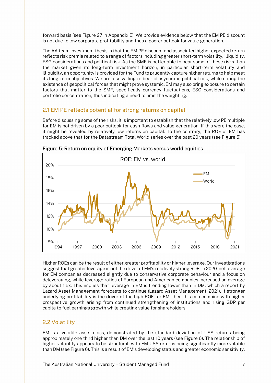forward basis (see Figure 27 in Appendix E). We provide evidence below that the EM PE discount is not due to low corporate profitability and thus a poorer outlook for value generation.

The AA team investment thesis is that the EM PE discount and associated higher expected return reflects risk premia related to a range of factors including greater short-term volatility, illiquidity, ESG considerations and political risk. As the SMF is better able to bear some of these risks than the market given its long-term investment horizon, in particular short-term volatility and illiquidity, an opportunity is provided for the Fund to prudently capture higher returns to help meet its long-term objectives. We are also willing to bear idiosyncratic political risk, while noting the existence of geopolitical forces that might prove systemic. EM may also bring exposure to certain factors that matter to the SMF, specifically currency fluctuations, ESG considerations and portfolio concentration, thus indicating a need to limit the weighting.

## 2.1 EM PE reflects potential for strong returns on capital

Before discussing some of the risks, it is important to establish that the relatively low PE multiple for EM is not driven by a poor outlook for cash flows and value generation. If this were the case, it might be revealed by relatively low returns on capital. To the contrary, the ROE of EM has tracked above that for the Datastream Total World series over the past 20 years (see Figure 5).



Figure 5: Return on equity of Emerging Markets versus world equities

Higher ROEs can be the result of either greater profitability or higher leverage. Our investigations suggest that greater leverage is not the driver of EM's relatively strong ROE. In 2020, net leverage for EM companies decreased slightly due to conservative corporate behaviour and a focus on deleveraging, while leverage ratios of European and American companies increased on average by about 1.5x. This implies that leverage in EM is trending lower than in DM, which a report by Lazard Asset Management forecasts to continue (Lazard Asset Management, 2021). If stronger underlying profitability is the driver of the high ROE for EM, then this can combine with higher prospective growth arising from continued strengthening of institutions and rising GDP per capita to fuel earnings growth while creating value for shareholders.

## 2.2 Volatility

EM is a volatile asset class, demonstrated by the standard deviation of US\$ returns being approximately one third higher than DM over the last 10 years (see Figure 6). The relationship of higher volatility appears to be structural, with EM US\$ returns being significantly more volatile than DM (see Figure 6). This is a result of EM's developing status and greater economic sensitivity,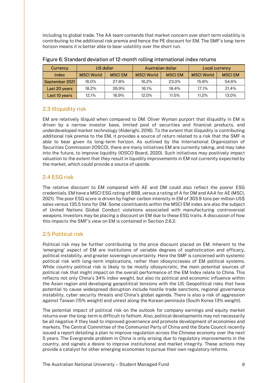including to global trade. The AA team contends that market concern over short term volatility is contributing to the additional risk premia and hence the PE discount for EM. The SMF's long-term horizon means it is better able to bear volatility over the short run.

| Currency       |                   | US dollar     |                   | Australian dollar |                   | Local currency |
|----------------|-------------------|---------------|-------------------|-------------------|-------------------|----------------|
| Index          | <b>MSCI World</b> | <b>MSCIEM</b> | <b>MSCI World</b> | <b>MSCIEM</b>     | <b>MSCI World</b> | <b>MSCIEM</b>  |
| September 2021 | 16.0%             | 27.8%         | 16.2%             | 23.0%             | 15.8%             | 54.6%          |
| Last 20 years  | 18.2%             | 26.9%         | 16.1%             | 18.4%             | 17.1%             | 21.4%          |
| Last 10 years  | 12.1%             | 16.9%         | 12.0%             | 11.5%             | 11.2%             | 13.0%          |

## 2.3 Illiquidity risk

EM are relatively illiquid when compared to DM. Oliver Wyman purport that illiquidity in EM is driven by a narrow investor base, limited pool of securities and financial products, and underdeveloped market technology (Alderighi, 2016). To the extent that illiquidity is contributing additional risk premia to the EM, it provides a source of return related to a risk that the SMF is able to bear given its long-term horizon. As outlined by the International Organization of Securities Commission (IOSCO), there are many initiatives EM are currently taking, and may take into the future, to improve liquidity (IOSCO Board, 2020). Such initiatives may positively impact valuation to the extent that they result in liquidity improvements in EM not currently expected by the market, which could provide a source of upside.

## 2.4 ESG risk

The relative discount to EM compared with AE and DM could also reflect the poorer ESG credentials. EM have a MSCI ESG rating of BBB, versus a rating of A for DM and AAA for AE (MSCI, 2021). The poor ESG score is driven by higher carbon intensity in EM of 303.9 tons per million US\$ sales versus 135.5 tons for DM. Some constituents within the MSCI EM index are also the subject of United Nations Global Conduct violations associated with manufacturing controversial weapons. Investors may be placing a discount on EM due to these ESG traits. A discussion of how this impacts the SMF's view on EM is contained in Section 2.6.2.

## 2.5 Political risk

Political risk may be further contributing to the price discount placed on EM. Inherent to the 'emerging' aspect of EM are institutions of variable degrees of sophistication and efficacy, political instability, and greater sovereign uncertainty. Here the SMF is concerned with systemic political risk with long-term implications, rather than idiosyncrasies of EM political systems. While country political risk is likely to be mostly idiosyncratic, the main potential sources of political risk that might impact on the overall performance of the EM Index relate to China. This reflects not only China's 34% index weight, but also its political and economic influence within the Asian region and developing geopolitical tensions with the US. Geopolitical risks that have potential to cause widespread disruption include hostile trade sanctions, regional governance instability, cyber security threats and China's global agenda. There is also a risk of aggression against Taiwan (15% weight) and unrest along the Korean peninsula (South Korea 13% weight).

The potential impact of political risk on the outlook for company earnings and equity market returns over the long-term is difficult to fathom. Also, political developments may not necessarily be all negative if they lead to improved governance and promote development of economies and markets. The Central Committee of the Communist Party of China and the State Council recently issued a report detailing a plan to improve regulation across the Chinese economy over the next 5 years. The Evergrande problem in China is only arising due to regulatory improvements in the country, and signals a desire to improve institutional and market integrity. These actions may provide a catalyst for other emerging economies to pursue their own regulatory reforms.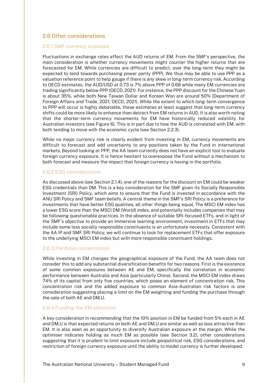## 2.6 Other considerations

#### 2.6.1 SMF currency exposure

Fluctuations in exchange rates affect the AUD returns of EM. From the SMF's perspective, the main consideration is whether currency movements might counter the higher returns that are forecasted for EM. While currencies are difficult to predict, over the long-term they might be expected to tend towards purchasing power parity (PPP). We thus may be able to use PPP as a valuation reference point to help gauge if there is any skew in long-term currency risk. According to OECD estimates, the AUD/USD at 0.73 is 7% above PPP of 0.68 while many EM currencies are trading significantly below PPP (OECD, 2021). For instance, the PPP discount for the Chinese Yuan is about 35%, while both New Taiwan Dollar and Korean Won are around 50% (Department of Foreign Affairs and Trade, 2021; OECD, 2021). While the extent to which long-term convergence to PPP will occur is highly debatable, these estimates at least suggest that long-term currency shifts could be more likely to enhance than detract from EM returns in AUD. It is also worth noting that the shorter-term currency movements for EM have historically reduced volatility for Australian investors (see Figure 6). This is in part due to how the AUD is correlated with EM, with both tending to move with the economic cycle (see Section 2.2.3).

While no major currency risk is clearly evident from investing in EM, currency movements are difficult to forecast and add uncertainty to any positions taken by the Fund in international markets. Beyond looking at PPP, the AA team currently does not have an explicit tool to evaluate foreign currency exposure. It is hence hesitant to overexpose the Fund without a mechanism to both forecast and measure the impact that foreign currency is having in the portfolio.

#### 2.6.2 ESG considerations

As discussed above (see Section 2.1.4), one of the reasons for the discount on EM could be weaker ESG credentials than DM. This is a key consideration for the SMF given its Socially Responsible Investment (SRI) Policy, which aims to ensure that the Fund is invested in accordance with the ANU SRI Policy and SMF team beliefs. A central theme in the SMF's SRI Policy is a preference for investments that have better ESG qualities, all other things being equal. The MSCI EM index has a lower ESG score than the MSCI DM (World) index, and potentially includes companies that may be following questionable practices. In the absence of suitable SRI-focused ETFs, and in light of the SMF's objective to provide an immersive learning environment, investment in ETFs that may include some less socially responsible constituents is an unfortunate necessity. Consistent with the AA IP and SMF SRI Policy, we will continue to look for replacement ETFs that offer exposure to the underlying MSCI EM index but with more responsible constituent holdings.

#### 2.6.3 Portfolio concentration

While investing in EM changes the geographical exposure of the Fund, the AA team does not consider this to add any substantial diversification benefits for two reasons. First is the existence of some common exposures between AE and EM, specifically the correlation in economic performance between Australia and Asia (particularly China). Second, the MSCI EM index draws 74% of its capital from only five countries, which poses an element of concentration risk. This concentration risk and the added exposure to common Asia-Australian risk factors is one consideration suggesting placing a limit on the EM weighting and funding the purchase through the sale of both AE and DM,U.

#### 2.6.4 Funding the EM allocation

A key consideration in recommending that the 10% position in EM be funded from 5% each in AE and DM,U is that expected returns on both AE and DM,U are similar as well as less attractive than EM. It is also seen as an opportunity to diversify Australian exposure at the margin. While the optimiser indicates holding as much EM as possible (see Section 3.2), other considerations suggesting that it is prudent to limit exposure include geopolitical risk, ESG considerations, and restriction of foreign currency exposure until the ability to model currency is further developed.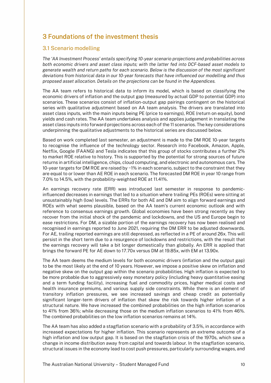## 3 Foundations of the investment thesis

#### 3.1 Scenario modelling

The 'AA Investment Process' entails specifying 10-year scenario projections and probabilities across both economic drivers and asset class inputs; with the latter fed into DCF-based asset models to generate wealth and return paths for each scenario. Below is the discussion of the most significant deviations from historical data in our 10-year forecasts that have influenced our modelling and thus proposed asset allocation. Details on the projections can be found in the Appendices.

The AA team refers to historical data to inform its model, which is based on classifying the economic drivers of inflation and the output gap (measured by actual GDP to potential GDP) into scenarios. These scenarios consist of inflation-output gap pairings contingent on the historical series with qualitative adjustment based on AA team analysis. The drivers are translated into asset class inputs, with the main inputs being PE (price to earnings), ROE (return on equity), bond yields and cash rates. The AA team undertakes analysis and applies judgement in translating the asset class inputs into forward projections across each of the 11 scenarios. The key considerations underpinning the qualitative adjustments to the historical series are discussed below.

Based on work completed last semester, an adjustment is made to the DM ROE 10-year targets to recognise the influence of the technology sector. Research into Facebook, Amazon, Apple, Netflix, Google (FAANG) and Tesla indicates that this group of stocks contributes a further 2% to market ROE relative to history. This is supported by the potential for strong sources of future returns in artificial intelligence, chips, cloud computing, and electronic and autonomous cars. The 10-year targets for DM ROE are raised by ~1% in each scenario, subject to the constraint that they are equal to or lower than AE ROE in each scenario. The forecasted DM ROE in year 10 range from 7.0% to 14.5%, with the probability-weighted ROE at 11.41%.

An earnings recovery rate (ERR) was introduced last semester in response to pandemicinfluenced decreases in earnings that led to a situation where trailing PEs (ROEs) were sitting at unsustainably high (low) levels. The ERRs for both AE and DM aim to align forward earnings and ROEs with what seems plausible, based on the AA team's current economic outlook and with reference to consensus earnings growth. Global economies have been strong recently as they recover from the initial shock of the pandemic and lockdowns, and the US and Europe begin to ease restrictions. For DM, a sizable portion of the earnings recovery has now been realised and recognised in earnings reported to June 2021, requiring the DM ERR to be adjusted downwards. For AE, trailing reported earnings are still depressed, as reflected in a PE of around 26x. This will persist in the short term due to a resurgence of lockdowns and restrictions, with the result that the earnings recovery will take a bit longer domestically than globally. An ERR is applied that brings the forward PE for AE down to 17.70x versus DM at 19.85x, with EM at 13.90x.

The AA team deems the medium levels for both economic drivers (inflation and the output gap) to be the most likely at the end of 10 years. However, we impose a positive skew on inflation and negative skew on the output gap within the scenario probabilities. High inflation is expected to be more probable due to aggressively easy monetary policy (including heavy quantitative easing and a term funding facility), increasing fuel and commodity prices, higher medical costs and health insurance premiums, and various supply side constraints. While there is an element of transitory inflation pressures, we see increased savings and cheap credit as potentially significant longer-term drivers of inflation that skew the risk towards higher inflation of a structural nature. We have increased the combined probabilities on the high inflation scenarios to 41% from 36%; while decreasing those on the medium inflation scenarios to 41% from 46%. The combined probabilities on the low inflation scenarios remains at 14%.

The AA team has also added a stagflation scenario with a probability of 3.5%, in accordance with increased expectations for higher inflation. This scenario represents an extreme outcome of a high inflation and low output gap. It is based on the stagflation crisis of the 1970s, which saw a change in income distribution away from capital and towards labour. In the stagflation scenario, structural issues in the economy lead to cost push pressures, particularly surrounding wages, and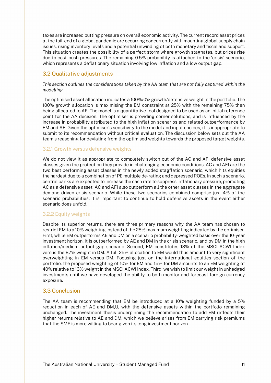taxes are increased putting pressure on overall economic activity. The current record asset prices at the tail-end of a global pandemic are occurring concurrently with mounting global supply chain issues, rising inventory levels and a potential unwinding of both monetary and fiscal and support. This situation creates the possibility of a perfect storm where growth stagnates, but prices rise due to cost-push pressures. The remaining 0.5% probability is attached to the 'crisis' scenario, which represents a deflationary situation involving low inflation and a low output gap.

## 3.2 Qualitative adjustments

This section outlines the considerations taken by the AA team that are not fully captured within the modelling.

The optimised asset allocation indicates a 100%/0% growth/defensive weight in the portfolio. The 100% growth allocation is maximising the EM constraint at 25% with the remaining 75% then being allocated to AE. The model is a quantitative tool designed to be used as an initial reference point for the AA decision. The optimiser is providing corner solutions, and is influenced by the increase in probability attributed to the high inflation scenarios and related outperformance by EM and AE. Given the optimiser's sensitivity to the model and input choices, it is inappropriate to submit to its recommendation without critical evaluation. The discussion below sets out the AA team's reasoning for deviating from the optimised weights towards the proposed target weights.

#### 3.2.1 Growth versus defensive weights

We do not view it as appropriate to completely switch out of the AC and AFI defensive asset classes given the protection they provide in challenging economic conditions. AC and AFI are the two best performing asset classes in the newly added stagflation scenario, which hits equities the hardest due to a combination of PE multiple de-rating and depressed ROEs. In such a scenario, central banks are expected to increase the cash rate to suppress inflationary pressure, promoting AC as a defensive asset. AC and AFI also outperform all the other asset classes in the aggregate demand-driven crisis scenario. While these two scenarios combined comprise just 4% of the scenario probabilities, it is important to continue to hold defensive assets in the event either scenario does unfold.

#### 3.2.2 Equity weights

Despite its superior returns, there are three primary reasons why the AA team has chosen to restrict EM to a 10% weighting instead of the 25% maximum weighting indicated by the optimiser. First, while EM outperforms AE and DM on a scenario probability-weighted basis over the 10-year investment horizon, it is outperformed by AE and DM in the crisis scenario, and by DM in the high inflation/medium output gap scenario. Second, EM constitutes 13% of the MSCI ACWI Index versus the 87% weight in DM. A full 25% allocation to EM would thus amount to very significant overweighting in EM versus DM. Focusing just on the international equities section of the portfolio, the proposed weighting of 10% for EM and 15% for DM amounts to an EM weighting of 40% relative to 13% weight in the MSCI ACWI Index. Third, we wish to limit our weight in unhedged investments until we have developed the ability to both monitor and forecast foreign currency exposure.

#### 3.3 Conclusion

The AA team is recommending that EM be introduced at a 10% weighting funded by a 5% reduction in each of AE and DM,U, with the defensive assets within the portfolio remaining unchanged. The investment thesis underpinning the recommendation to add EM reflects their higher returns relative to AE and DM, which we believe arises from EM carrying risk premiums that the SMF is more willing to bear given its long investment horizon.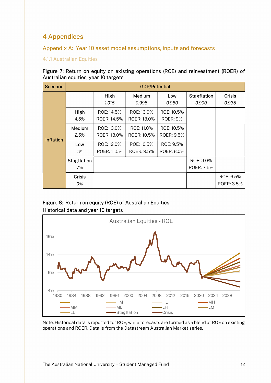## 4 Appendices

## Appendix A: Year 10 asset model assumptions, inputs and forecasts

## 4.1.1 Australian Equities

#### Figure 7: Return on equity on existing operations (ROE) and reinvestment (ROER) of Australian equities, year 10 targets

| <b>Scenario</b> |                          | <b>GDP/Potential</b>                                                                           |                                  |                               |                             |                         |  |  |  |
|-----------------|--------------------------|------------------------------------------------------------------------------------------------|----------------------------------|-------------------------------|-----------------------------|-------------------------|--|--|--|
|                 |                          | High<br>1.015                                                                                  | Medium<br>0.995                  | Low<br>0.980                  | <b>Stagflation</b><br>0.900 | Crisis<br>0.935         |  |  |  |
|                 | High<br>4.5%             | ROE: 14.5%<br>ROER: 14.5%                                                                      | ROE: 13.0%<br>ROER: 13.0%        | ROE: 10.5%<br><b>ROER: 9%</b> |                             |                         |  |  |  |
| Inflation       | Medium<br>2.5%           | ROE: 13.0%<br>ROER: 13.0%                                                                      | ROE: 11.0%<br>ROER: 10.5%        | ROE: 10.5%<br>ROER: 9.5%      |                             |                         |  |  |  |
|                 | Low<br>1%                | ROE: 12.0%<br>ROER: 11.5%                                                                      | ROE: 10.5%<br>ROER: 9.5%         | ROE: 9.5%<br>ROER: 8.0%       |                             |                         |  |  |  |
|                 | <b>Stagflation</b><br>7% |                                                                                                |                                  |                               | ROE: 9.0%<br>ROER: 7.5%     |                         |  |  |  |
|                 | <b>Crisis</b><br>0%      |                                                                                                |                                  |                               |                             | ROE: 6.5%<br>ROER: 3.5% |  |  |  |
|                 |                          | Figure 8: Return on equity (ROE) of Australian Equities<br>Historical data and year 10 targets |                                  |                               |                             |                         |  |  |  |
|                 |                          |                                                                                                | <b>Australian Equities - ROE</b> |                               |                             |                         |  |  |  |
| 19%             |                          |                                                                                                |                                  |                               |                             |                         |  |  |  |

## Figure 8: Return on equity (ROE) of Australian Equities Historical data and year 10 targets



Note: Historical data is reported for ROE, while forecasts are formed as a blend of ROE on existing operations and ROER. Data is from the Datastream Australian Market series.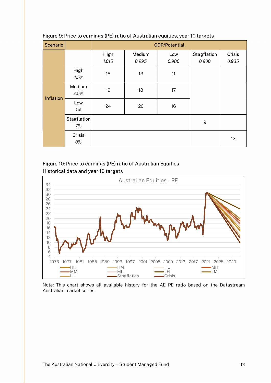| <b>Scenario</b> |                     | <b>GDP/Potential</b>                |                                                                |              |                      |                        |  |
|-----------------|---------------------|-------------------------------------|----------------------------------------------------------------|--------------|----------------------|------------------------|--|
|                 |                     | High<br>1.015                       | Medium<br>0.995                                                | Low<br>0.980 | Stagflation<br>0.900 | <b>Crisis</b><br>0.935 |  |
|                 | High<br>4.5%        | 15                                  | 13                                                             | 11           |                      |                        |  |
|                 | Medium<br>2.5%      | 19                                  | 18                                                             | 17           |                      |                        |  |
| Inflation       | Low<br>1%           | 20<br>24<br>16                      |                                                                |              |                      |                        |  |
|                 | Stagflation<br>7%   |                                     |                                                                |              | $\boldsymbol{9}$     |                        |  |
|                 | <b>Crisis</b><br>0% |                                     |                                                                |              |                      | 12                     |  |
|                 |                     | Historical data and year 10 targets | Figure 10: Price to earnings (PE) ratio of Australian Equities |              |                      |                        |  |
| 34              |                     |                                     | <b>Australian Equities - PE</b>                                |              |                      |                        |  |
| 32              |                     |                                     |                                                                |              |                      |                        |  |
| 30<br>28        |                     |                                     |                                                                |              |                      |                        |  |
| 26<br>24        |                     |                                     | <b>Ale</b>                                                     |              |                      |                        |  |

#### Figure 9: Price to earnings (PE) ratio of Australian equities, year 10 targets





Note: This chart shows all available history for the AE PE ratio based on the Datastream Australian market series.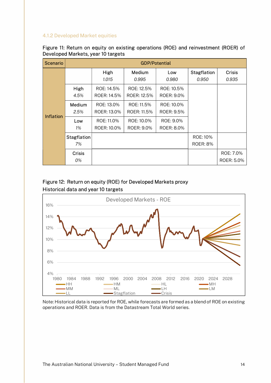#### 4.1.2 Developed Market equities

| Figure 11: Return on equity on existing operations (ROE) and reinvestment (ROER) of |  |  |
|-------------------------------------------------------------------------------------|--|--|
| Developed Markets, year 10 targets                                                  |  |  |

|                  |                          | <b>GDP/Potential</b>      |                           |                          |                             |                         |  |  |  |
|------------------|--------------------------|---------------------------|---------------------------|--------------------------|-----------------------------|-------------------------|--|--|--|
|                  |                          | High<br>1.015             | Medium<br>0.995           | Low<br>0.980             | <b>Stagflation</b><br>0.950 | <b>Crisis</b><br>0.935  |  |  |  |
|                  | High<br>4.5%             | ROE: 14.5%<br>ROER: 14.5% | ROE: 12.5%<br>ROER: 12.5% | ROE: 10.5%<br>ROER: 9.0% |                             |                         |  |  |  |
| <b>Inflation</b> | Medium<br>2.5%           | ROE: 13.0%<br>ROER: 13.0% | ROE: 11.5%<br>ROER: 11.5% | ROE: 10.0%<br>ROER: 9.5% |                             |                         |  |  |  |
|                  | Low<br>1%                | ROE: 11.0%<br>ROER: 10.0% | ROE: 10.0%<br>ROER: 9.0%  | ROE: 9.0%<br>ROER: 8.0%  |                             |                         |  |  |  |
|                  | <b>Stagflation</b><br>7% |                           |                           |                          | ROE: 10%<br><b>ROER: 8%</b> |                         |  |  |  |
|                  | <b>Crisis</b><br>0%      |                           |                           |                          |                             | ROE: 7.0%<br>ROER: 5.0% |  |  |  |

## Figure 12: Return on equity (ROE) for Developed Markets proxy Historical data and year 10 targets



Note: Historical data is reported for ROE, while forecasts are formed as a blend of ROE on existing operations and ROER. Data is from the Datastream Total World series.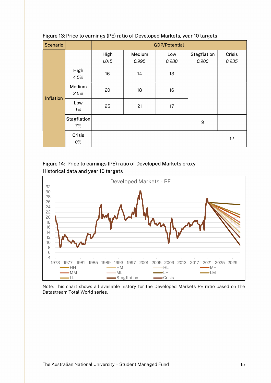| <b>Scenario</b>                      |                     | <b>GDP/Potential</b>                |                                                                    |              |                      |                        |  |  |
|--------------------------------------|---------------------|-------------------------------------|--------------------------------------------------------------------|--------------|----------------------|------------------------|--|--|
|                                      |                     | High<br>1.015                       | Medium<br>0.995                                                    | Low<br>0.980 | Stagflation<br>0.900 | <b>Crisis</b><br>0.935 |  |  |
|                                      | High<br>4.5%        | 16                                  | 14                                                                 | 13           |                      |                        |  |  |
|                                      | Medium<br>2.5%      | 20                                  | 18                                                                 | 16           |                      |                        |  |  |
| <b>Inflation</b>                     | Low<br>1%           | 25                                  | 21                                                                 | 17           |                      |                        |  |  |
|                                      | Stagflation<br>7%   |                                     |                                                                    |              | $9\,$                |                        |  |  |
|                                      | <b>Crisis</b><br>0% |                                     |                                                                    |              |                      | 12                     |  |  |
|                                      |                     | Historical data and year 10 targets | Figure 14: Price to earnings (PE) ratio of Developed Markets proxy |              |                      |                        |  |  |
|                                      |                     |                                     | Developed Markets - PE                                             |              |                      |                        |  |  |
| 32<br>30<br>28<br>26<br>24<br>$\sim$ |                     |                                     |                                                                    |              |                      |                        |  |  |

## Figure 13: Price to earnings (PE) ratio of Developed Markets, year 10 targets





Note: This chart shows all available history for the Developed Markets PE ratio based on the Datastream Total World series.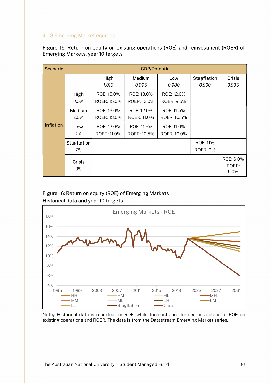## 4.1.3 Emerging Market equities

| Figure 15: Return on equity on existing operations (ROE) and reinvestment (ROER) of |  |
|-------------------------------------------------------------------------------------|--|
| Emerging Markets, year 10 targets                                                   |  |

|                  |                     |                           | <b>GDP/Potential</b>      |                           |                             |                            |
|------------------|---------------------|---------------------------|---------------------------|---------------------------|-----------------------------|----------------------------|
|                  |                     | High<br>1.015             | Medium<br>0.995           | Low<br>0.980              | <b>Stagflation</b><br>0.900 | <b>Crisis</b><br>0.935     |
|                  | High<br>4.5%        | ROE: 15.0%<br>ROER: 15.0% | ROE: 13.0%<br>ROER: 13.0% | ROE: 12.0%<br>ROER: 9.5%  |                             |                            |
|                  | Medium<br>2.5%      | ROE: 13.0%<br>ROER: 13.0% | ROE: 12.0%<br>ROER: 11.0% | ROE: 11.5%<br>ROER: 10.5% |                             |                            |
| <b>Inflation</b> | Low<br>1%           | ROE: 12.0%<br>ROER: 11.0% | ROE: 11.5%<br>ROER: 10.5% | ROE: 11.0%<br>ROER: 10.0% |                             |                            |
|                  | Stagflation<br>7%   |                           |                           |                           | ROE: 11%<br><b>ROER: 9%</b> |                            |
|                  | <b>Crisis</b><br>0% |                           |                           |                           |                             | ROE: 6.0%<br>ROER:<br>5.0% |

## Figure 16: Return on equity (ROE) of Emerging Markets Historical data and year 10 targets



Note<sub>1</sub>: Historical data is reported for ROE, while forecasts are formed as a blend of ROE on existing operations and ROER. The data is from the Datastream Emerging Market series.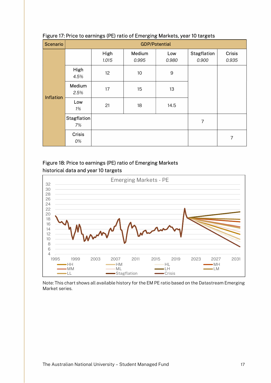| <b>Scenario</b>      |                   |                                     |                                                             | <b>GDP/Potential</b> |                             |                        |
|----------------------|-------------------|-------------------------------------|-------------------------------------------------------------|----------------------|-----------------------------|------------------------|
| <b>Inflation</b>     |                   | High<br>1.015                       | Medium<br>0.995                                             | Low<br>0.980         | <b>Stagflation</b><br>0.900 | <b>Crisis</b><br>0.935 |
|                      | High<br>4.5%      | 12                                  | 10                                                          | $\hbox{9}$           |                             |                        |
|                      | Medium<br>2.5%    | 17                                  | 15                                                          | 13                   |                             |                        |
|                      | Low<br>1%         | 21                                  | 18                                                          | 14.5                 |                             |                        |
|                      | Stagflation<br>7% |                                     |                                                             |                      | $\overline{7}$              |                        |
|                      | Crisis<br>0%      |                                     |                                                             |                      |                             | $\overline{7}$         |
|                      |                   | historical data and year 10 targets | Figure 18: Price to earnings (PE) ratio of Emerging Markets |                      |                             |                        |
| 32                   |                   |                                     | <b>Emerging Markets - PE</b>                                |                      |                             |                        |
| 30<br>28<br>26<br>24 |                   |                                     |                                                             |                      |                             |                        |
| つつ                   |                   |                                     |                                                             | Δ.                   |                             |                        |

## Figure 17: Price to earnings (PE) ratio of Emerging Markets, year 10 targets





Note: This chart shows all available history for the EM PE ratio based on the Datastream Emerging Market series.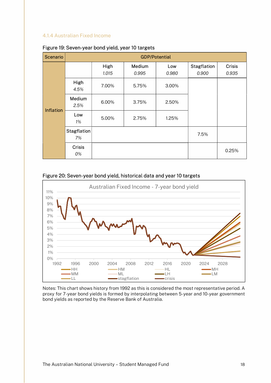#### 4.1.4 Australian Fixed Income

| <b>Scenario</b>                                                                                                      |                     |               |                 | <b>GDP/Potential</b> |                      |                 |  |  |  |
|----------------------------------------------------------------------------------------------------------------------|---------------------|---------------|-----------------|----------------------|----------------------|-----------------|--|--|--|
|                                                                                                                      |                     | High<br>1.015 | Medium<br>0.995 | Low<br>0.980         | Stagflation<br>0.900 | Crisis<br>0.935 |  |  |  |
|                                                                                                                      | High<br>4.5%        | 7.00%         | 5.75%           | 3.00%                |                      |                 |  |  |  |
|                                                                                                                      | Medium<br>2.5%      | 6.00%         | 3.75%           | 2.50%                |                      |                 |  |  |  |
| <b>Inflation</b>                                                                                                     | Low<br>1%           | 5.00%         | 2.75%           | 1.25%                |                      |                 |  |  |  |
|                                                                                                                      | Stagflation<br>7%   |               |                 |                      | 7.5%                 |                 |  |  |  |
|                                                                                                                      | <b>Crisis</b><br>0% |               |                 |                      |                      | 0.25%           |  |  |  |
| Figure 20: Seven-year bond yield, historical data and year 10 targets<br>Australian Fixed Income - 7-year bond yield |                     |               |                 |                      |                      |                 |  |  |  |
| 11%<br>10%<br>$9\%$<br>$8\%$<br>70/                                                                                  |                     |               |                 |                      |                      |                 |  |  |  |

#### Figure 19: Seven-year bond yield, year 10 targets

#### Figure 20: Seven-year bond yield, historical data and year 10 targets



Notes: This chart shows history from 1992 as this is considered the most representative period. A proxy for 7-year bond yields is formed by interpolating between 5-year and 10-year government bond yields as reported by the Reserve Bank of Australia.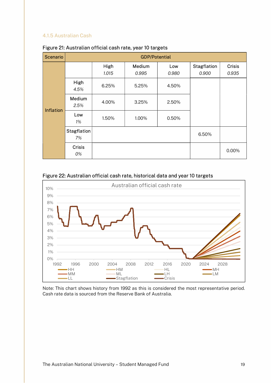## 4.1.5 Australian Cash

| <b>Scenario</b>  |                          | <b>GDP/Potential</b> |                 |              |                      |                        |  |  |  |
|------------------|--------------------------|----------------------|-----------------|--------------|----------------------|------------------------|--|--|--|
|                  |                          | High<br>1.015        | Medium<br>0.995 | Low<br>0.980 | Stagflation<br>0.900 | <b>Crisis</b><br>0.935 |  |  |  |
|                  | High<br>4.5%             | 6.25%                | 5.25%           | 4.50%        |                      |                        |  |  |  |
| <b>Inflation</b> | Medium<br>2.5%           | 4.00%                | 3.25%           | 2.50%        |                      |                        |  |  |  |
|                  | Low<br>$1\%$             | 1.50%                | 1.00%           | 0.50%        |                      |                        |  |  |  |
|                  | <b>Stagflation</b><br>7% |                      |                 |              | 6.50%                |                        |  |  |  |
|                  | <b>Crisis</b><br>0%      |                      |                 |              |                      | 0.00%                  |  |  |  |

#### Figure 21: Australian official cash rate, year 10 targets





Note: This chart shows history from 1992 as this is considered the most representative period. Cash rate data is sourced from the Reserve Bank of Australia.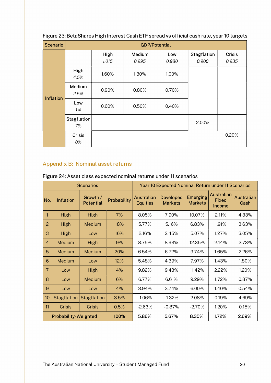| <b>Scenario</b>  |                          | <b>GDP/Potential</b> |                 |              |                             |                        |  |  |  |
|------------------|--------------------------|----------------------|-----------------|--------------|-----------------------------|------------------------|--|--|--|
|                  |                          | High<br>1.015        | Medium<br>0.995 | Low<br>0.980 | <b>Stagflation</b><br>0.900 | <b>Crisis</b><br>0.935 |  |  |  |
|                  | High<br>4.5%             | 1.60%                | 1.30%           | 1.00%        |                             |                        |  |  |  |
| <b>Inflation</b> | Medium<br>2.5%           | 0.90%                | 0.80%           | 0.70%        |                             |                        |  |  |  |
|                  | Low<br>1%                | 0.60%                | 0.50%           | 0.40%        |                             |                        |  |  |  |
|                  | <b>Stagflation</b><br>7% |                      |                 |              | 2.00%                       |                        |  |  |  |
|                  | <b>Crisis</b><br>0%      |                      |                 |              |                             | 0.20%                  |  |  |  |

## Figure 23: BetaShares High Interest Cash ETF spread vs official cash rate, year 10 targets

## Appendix B: Nominal asset returns

| <b>Scenarios</b> |                             |                              |             | <b>Year 10 Expected Nominal Return under 11 Scenarios</b> |                                    |                                   |                                      |                           |
|------------------|-----------------------------|------------------------------|-------------|-----------------------------------------------------------|------------------------------------|-----------------------------------|--------------------------------------|---------------------------|
| No.              | <b>Inflation</b>            | Growth /<br><b>Potential</b> | Probability | <b>Australian</b><br><b>Equities</b>                      | <b>Developed</b><br><b>Markets</b> | <b>Emerging</b><br><b>Markets</b> | <b>Australian</b><br>Fixed<br>Income | <b>Australian</b><br>Cash |
| 1                | <b>High</b>                 | <b>High</b>                  | 7%          | 8.05%                                                     | 7.90%                              | 10.07%                            | 2.11%                                | 4.33%                     |
| $\overline{2}$   | <b>High</b>                 | Medium                       | 18%         | 5.77%                                                     | 5.16%                              | 6.83%                             | 1.91%                                | 3.63%                     |
| 3                | <b>High</b>                 | Low                          | 16%         | 2.16%                                                     | 2.45%                              | 5.07%                             | 1.27%                                | 3.05%                     |
| 4                | Medium                      | <b>High</b>                  | 9%          | 8.75%                                                     | 8.93%                              | 12.35%                            | 2.14%                                | 2.73%                     |
| 5                | Medium                      | Medium                       | 20%         | 6.54%                                                     | 6.72%                              | 9.74%                             | 1.65%                                | 2.26%                     |
| 6                | Medium                      | Low                          | 12%         | 5.48%                                                     | 4.39%                              | 7.97%                             | 1.43%                                | 1.80%                     |
| $\overline{7}$   | Low                         | <b>High</b>                  | 4%          | 9.82%                                                     | 9.43%                              | 11.42%                            | 2.22%                                | 1.20%                     |
| 8                | Low                         | Medium                       | 6%          | 6.77%                                                     | 6.61%                              | 9.29%                             | 1.72%                                | 0.87%                     |
| $\overline{9}$   | Low                         | Low                          | 4%          | 3.94%                                                     | 3.74%                              | 6.00%                             | 1.40%                                | 0.54%                     |
| 10               | <b>Stagflation</b>          | <b>Stagflation</b>           | 3.5%        | $-1.06%$                                                  | $-1.32%$                           | 2.08%                             | 0.19%                                | 4.69%                     |
| 11               | <b>Crisis</b>               | <b>Crisis</b>                | 0.5%        | $-2.63%$                                                  | $-0.87%$                           | $-2.70%$                          | 1.20%                                | 0.15%                     |
|                  | <b>Probability-Weighted</b> |                              | 100%        | 5.86%                                                     | 5.67%                              | 8.35%                             | 1.72%                                | 2.69%                     |

## Figure 24: Asset class expected nominal returns under 11 scenarios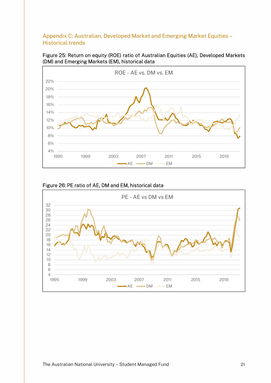## Appendix C: Australian, Developed Market and Emerging Market Equities – Historical trends

Figure 25: Return on equity (ROE) ratio of Australian Equities (AE), Developed Markets (DM) and Emerging Markets (EM), historical data



## Figure 26: PE ratio of AE, DM and EM, historical data

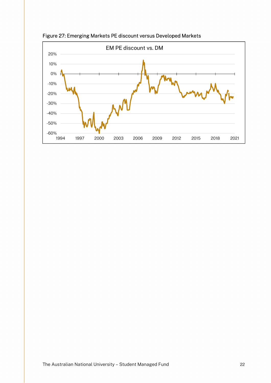

Figure 27: Emerging Markets PE discount versus Developed Markets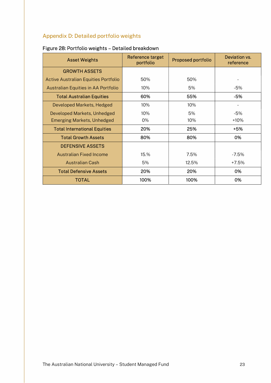## Appendix D: Detailed portfolio weights

| <b>Asset Weights</b>                 | Reference target<br>portfolio | <b>Proposed portfolio</b> | Deviation vs.<br>reference |
|--------------------------------------|-------------------------------|---------------------------|----------------------------|
| <b>GROWTH ASSETS</b>                 |                               |                           |                            |
| Active Australian Equities Portfolio | 50%                           | 50%                       |                            |
| Australian Equities in AA Portfolio  | 10%                           | 5%                        | -5%                        |
| <b>Total Australian Equities</b>     | 60%                           | 55%                       | $-5%$                      |
| Developed Markets, Hedged            | 10%                           | 10%                       |                            |
| Developed Markets, Unhedged          | 10%                           | 5%                        | -5%                        |
| <b>Emerging Markets, Unhedged</b>    | 0%                            | 10%                       | $+10%$                     |
| <b>Total International Equities</b>  | 20%                           | 25%                       | $+5%$                      |
| <b>Total Growth Assets</b>           | 80%                           | 80%                       | 0%                         |
| <b>DEFENSIVE ASSETS</b>              |                               |                           |                            |
| Australian Fixed Income              | 15.%                          | 7.5%                      | $-7.5%$                    |
| <b>Australian Cash</b>               | 5%                            | 12.5%                     | $+7.5%$                    |
| <b>Total Defensive Assets</b>        | 20%                           | 20%                       | 0%                         |
| <b>TOTAL</b>                         | 100%                          | 100%                      | 0%                         |

## Figure 28: Portfolio weights – Detailed breakdown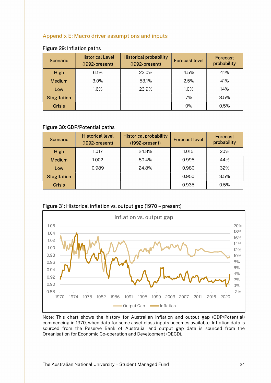## Appendix E: Macro driver assumptions and inputs

| <b>Scenario</b>    | <b>Historical Level</b><br>$(1992-present)$ | <b>Historical probability</b><br>$(1992-present)$ | <b>Forecast level</b> | Forecast<br>probability |
|--------------------|---------------------------------------------|---------------------------------------------------|-----------------------|-------------------------|
| High               | 6.1%                                        | 23.0%                                             | 4.5%                  | 41%                     |
| <b>Medium</b>      | 3.0%                                        | 53.1%                                             | 2.5%                  | 41%                     |
| Low                | 1.6%                                        | 23.9%                                             | 1.0%                  | 14%                     |
| <b>Stagflation</b> |                                             |                                                   | 7%                    | 3.5%                    |
| <b>Crisis</b>      |                                             |                                                   | 0%                    | 0.5%                    |

#### Figure 29: Inflation paths

## Figure 30: GDP/Potential paths

| <b>Scenario</b>    | <b>Historical level</b><br>$(1992-present)$ | <b>Historical probability</b><br>$(1992-present)$ | <b>Forecast level</b> | Forecast<br>probability |
|--------------------|---------------------------------------------|---------------------------------------------------|-----------------------|-------------------------|
| High               | 1.017                                       | 24.8%                                             | 1.015                 | 20%                     |
| Medium             | 1.002                                       | 50.4%                                             | 0.995                 | 44%                     |
| Low                | 0.989                                       | 24.8%                                             | 0.980                 | 32%                     |
| <b>Stagflation</b> |                                             |                                                   | 0.950                 | 3.5%                    |
| <b>Crisis</b>      |                                             |                                                   | 0.935                 | 0.5%                    |



## Figure 31: Historical inflation vs. output gap (1970 – present)

Note: This chart shows the history for Australian inflation and output gap (GDP/Potential) commencing in 1970, when data for some asset class inputs becomes available. Inflation data is sourced from the Reserve Bank of Australia, and output gap data is sourced from the Organisation for Economic Co-operation and Development (OECD).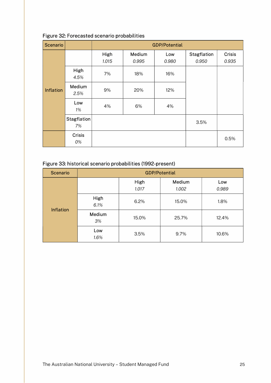| <b>Scenario</b>  |                          | <b>GDP/Potential</b> |                 |              |                      |                        |  |  |
|------------------|--------------------------|----------------------|-----------------|--------------|----------------------|------------------------|--|--|
|                  |                          | High<br>1.015        | Medium<br>0.995 | Low<br>0.980 | Stagflation<br>0.950 | <b>Crisis</b><br>0.935 |  |  |
|                  | High<br>4.5%             | 7%                   | 18%             | 16%          |                      |                        |  |  |
| <b>Inflation</b> | Medium<br>2.5%           | 9%                   | 20%             | 12%          |                      |                        |  |  |
|                  | Low<br>1%                | 4%                   | 6%              | 4%           |                      |                        |  |  |
|                  | <b>Stagflation</b><br>7% |                      |                 |              | 3.5%                 |                        |  |  |
|                  | Crisis<br>0%             |                      |                 |              |                      | 0.5%                   |  |  |

## Figure 32: Forecasted scenario probabilities

## Figure 33: historical scenario probabilities (1992-present)

| <b>Scenario</b>  | <b>GDP/Potential</b> |               |                 |              |  |  |  |
|------------------|----------------------|---------------|-----------------|--------------|--|--|--|
|                  |                      | High<br>1.017 | Medium<br>1.002 | Low<br>0.989 |  |  |  |
| <b>Inflation</b> | High<br>6.1%         | 6.2%          | 15.0%           | 1.8%         |  |  |  |
|                  | Medium<br>3%         | 15.0%         | 25.7%           | 12.4%        |  |  |  |
|                  | Low<br>1.6%          | 3.5%          | 9.7%            | 10.6%        |  |  |  |